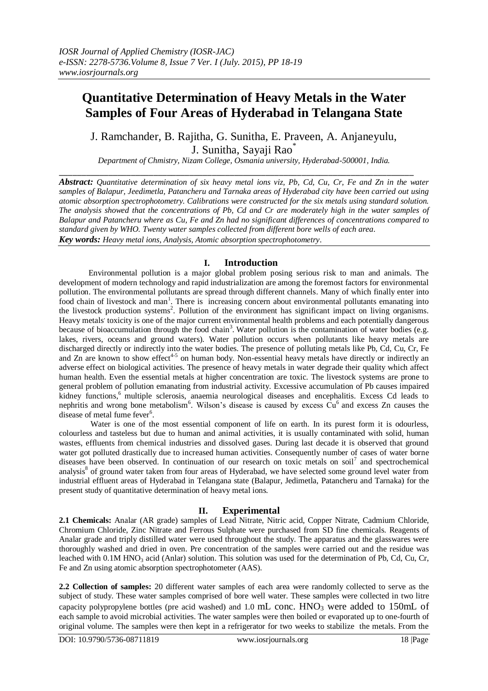# **Quantitative Determination of Heavy Metals in the Water Samples of Four Areas of Hyderabad in Telangana State**

J. Ramchander, B. Rajitha, G. Sunitha, E. Praveen, A. Anjaneyulu, J. Sunitha, Sayaji Rao\*

*Department of Chmistry, Nizam College, Osmania university, Hyderabad-500001, India.*

\_\_\_\_\_\_\_\_\_\_\_\_\_\_\_\_\_\_\_\_\_\_\_\_\_\_\_\_\_\_\_\_\_\_\_\_\_\_\_\_\_\_\_\_\_\_\_\_\_\_\_\_\_\_\_\_\_\_\_\_\_\_\_\_\_\_\_\_\_\_\_\_\_\_\_\_\_\_\_

*Abstract: Quantitative determination of six heavy metal ions viz, Pb, Cd, Cu, Cr, Fe and Zn in the water samples of Balapur, Jeedimetla, Patancheru and Tarnaka areas of Hyderabad city have been carried out using atomic absorption spectrophotometry. Calibrations were constructed for the six metals using standard solution. The analysis showed that the concentrations of Pb, Cd and Cr are moderately high in the water samples of Balapur and Patancheru where as Cu, Fe and Zn had no significant differences of concentrations compared to standard given by WHO. Twenty water samples collected from different bore wells of each area. Key words: Heavy metal ions, Analysis, Atomic absorption spectrophotometry.*

### **I. Introduction**

Environmental pollution is a major global problem posing serious risk to man and animals. The development of modern technology and rapid industrialization are among the foremost factors for environmental pollution. The environmental pollutants are spread through different channels. Many of which finally enter into food chain of livestock and man<sup>1</sup>. There is increasing concern about environmental pollutants emanating into the livestock production systems<sup>2</sup>. Pollution of the environment has significant impact on living organisms. Heavy metals toxicity is one of the major current environmental health problems and each potentially dangerous because of bioaccumulation through the food chain<sup>3</sup>. Water pollution is the contamination of water bodies (e.g. lakes, rivers, oceans and ground waters). Water pollution occurs when pollutants like heavy metals are discharged directly or indirectly into the water bodies. The presence of polluting metals like Pb, Cd, Cu, Cr, Fe and Zn are known to show effect<sup>4-5</sup> on human body. Non-essential heavy metals have directly or indirectly an adverse effect on biological activities. The presence of heavy metals in water degrade their quality which affect human health. Even the essential metals at higher concentration are toxic. The livestock systems are prone to general problem of pollution emanating from industrial activity. Excessive accumulation of Pb causes impaired kidney functions, <sup>6</sup> multiple sclerosis, anaemia neurological diseases and encephalitis. Excess Cd leads to nephritis and wrong bone metabolism<sup>6</sup>. Wilson's disease is caused by excess  $\tilde{Cu}^6$  and excess Zn causes the disease of metal fume fever<sup>6</sup>.

Water is one of the most essential component of life on earth. In its purest form it is odourless, colourless and tasteless but due to human and animal activities, it is usually contaminated with solid, human wastes, effluents from chemical industries and dissolved gases. During last decade it is observed that ground water got polluted drastically due to increased human activities. Consequently number of cases of water borne diseases have been observed. In continuation of our research on toxic metals on soil<sup>7</sup> and spectrochemical analysis<sup>8</sup> of ground water taken from four areas of Hyderabad, we have selected some ground level water from industrial effluent areas of Hyderabad in Telangana state (Balapur, Jedimetla, Patancheru and Tarnaka) for the present study of quantitative determination of heavy metal ions.

## **II. Experimental**

**2.1 Chemicals:** Analar (AR grade) samples of Lead Nitrate, Nitric acid, Copper Nitrate, Cadmium Chloride, Chromium Chloride, Zinc Nitrate and Ferrous Sulphate were purchased from SD fine chemicals. Reagents of Analar grade and triply distilled water were used throughout the study. The apparatus and the glasswares were thoroughly washed and dried in oven. Pre concentration of the samples were carried out and the residue was leached with 0.1M HNO<sub>3</sub> acid (Anlar) solution. This solution was used for the determination of Pb, Cd, Cu, Cr, Fe and Zn using atomic absorption spectrophotometer (AAS).

**2.2 Collection of samples:** 20 different water samples of each area were randomly collected to serve as the subject of study. These water samples comprised of bore well water. These samples were collected in two litre capacity polypropylene bottles (pre acid washed) and 1.0 mL conc.  $HNO<sub>3</sub>$  were added to 150mL of each sample to avoid microbial activities. The water samples were then boiled or evaporated up to one-fourth of original volume. The samples were then kept in a refrigerator for two weeks to stabilize the metals. From the